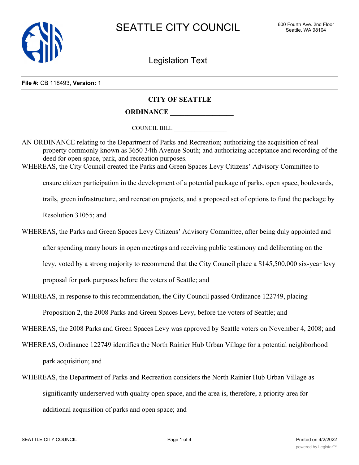

Legislation Text

## **File #:** CB 118493, **Version:** 1

## **CITY OF SEATTLE**

## **ORDINANCE \_\_\_\_\_\_\_\_\_\_\_\_\_\_\_\_\_\_**

COUNCIL BILL \_\_\_\_\_\_\_\_\_\_\_\_\_\_\_\_\_\_

AN ORDINANCE relating to the Department of Parks and Recreation; authorizing the acquisition of real property commonly known as 3650 34th Avenue South; and authorizing acceptance and recording of the deed for open space, park, and recreation purposes. WHEREAS, the City Council created the Parks and Green Spaces Levy Citizens' Advisory Committee to

ensure citizen participation in the development of a potential package of parks, open space, boulevards,

trails, green infrastructure, and recreation projects, and a proposed set of options to fund the package by

Resolution 31055; and

- WHEREAS, the Parks and Green Spaces Levy Citizens' Advisory Committee, after being duly appointed and after spending many hours in open meetings and receiving public testimony and deliberating on the levy, voted by a strong majority to recommend that the City Council place a \$145,500,000 six-year levy proposal for park purposes before the voters of Seattle; and
- WHEREAS, in response to this recommendation, the City Council passed Ordinance 122749, placing

Proposition 2, the 2008 Parks and Green Spaces Levy, before the voters of Seattle; and

WHEREAS, the 2008 Parks and Green Spaces Levy was approved by Seattle voters on November 4, 2008; and

- WHEREAS, Ordinance 122749 identifies the North Rainier Hub Urban Village for a potential neighborhood park acquisition; and
- WHEREAS, the Department of Parks and Recreation considers the North Rainier Hub Urban Village as significantly underserved with quality open space, and the area is, therefore, a priority area for additional acquisition of parks and open space; and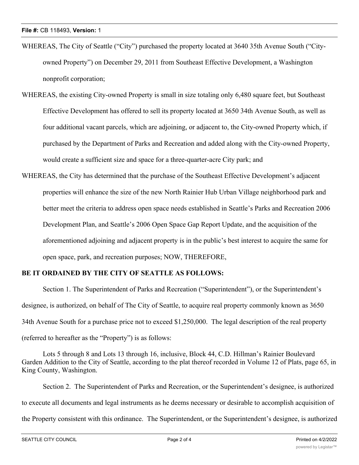- WHEREAS, The City of Seattle ("City") purchased the property located at 3640 35th Avenue South ("Cityowned Property") on December 29, 2011 from Southeast Effective Development, a Washington nonprofit corporation;
- WHEREAS, the existing City-owned Property is small in size totaling only 6,480 square feet, but Southeast Effective Development has offered to sell its property located at 3650 34th Avenue South, as well as four additional vacant parcels, which are adjoining, or adjacent to, the City-owned Property which, if purchased by the Department of Parks and Recreation and added along with the City-owned Property, would create a sufficient size and space for a three-quarter-acre City park; and
- WHEREAS, the City has determined that the purchase of the Southeast Effective Development's adjacent properties will enhance the size of the new North Rainier Hub Urban Village neighborhood park and better meet the criteria to address open space needs established in Seattle's Parks and Recreation 2006 Development Plan, and Seattle's 2006 Open Space Gap Report Update, and the acquisition of the aforementioned adjoining and adjacent property is in the public's best interest to acquire the same for open space, park, and recreation purposes; NOW, THEREFORE,

## **BE IT ORDAINED BY THE CITY OF SEATTLE AS FOLLOWS:**

Section 1. The Superintendent of Parks and Recreation ("Superintendent"), or the Superintendent's designee, is authorized, on behalf of The City of Seattle, to acquire real property commonly known as 3650 34th Avenue South for a purchase price not to exceed \$1,250,000. The legal description of the real property (referred to hereafter as the "Property") is as follows:

Lots 5 through 8 and Lots 13 through 16, inclusive, Block 44, C.D. Hillman's Rainier Boulevard Garden Addition to the City of Seattle, according to the plat thereof recorded in Volume 12 of Plats, page 65, in King County, Washington.

Section 2. The Superintendent of Parks and Recreation, or the Superintendent's designee, is authorized to execute all documents and legal instruments as he deems necessary or desirable to accomplish acquisition of the Property consistent with this ordinance. The Superintendent, or the Superintendent's designee, is authorized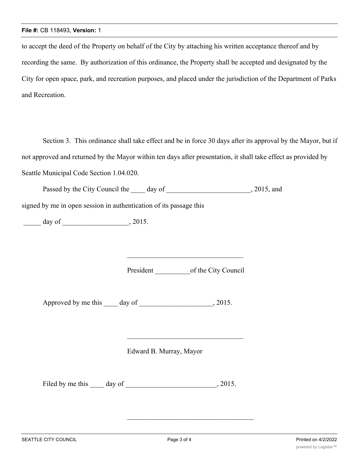to accept the deed of the Property on behalf of the City by attaching his written acceptance thereof and by recording the same. By authorization of this ordinance, the Property shall be accepted and designated by the City for open space, park, and recreation purposes, and placed under the jurisdiction of the Department of Parks and Recreation.

Section 3. This ordinance shall take effect and be in force 30 days after its approval by the Mayor, but if not approved and returned by the Mayor within ten days after presentation, it shall take effect as provided by Seattle Municipal Code Section 1.04.020.

Passed by the City Council the day of 3015, and

signed by me in open session in authentication of its passage this

\_\_\_\_\_ day of \_\_\_\_\_\_\_\_\_\_\_\_\_\_\_\_\_\_\_, 2015.

President \_\_\_\_\_\_\_\_\_\_\_\_\_\_\_\_of the City Council

Approved by me this \_\_\_\_ day of \_\_\_\_\_\_\_\_\_\_\_\_\_\_\_\_\_\_, 2015.

Edward B. Murray, Mayor

Filed by me this \_\_\_\_\_ day of \_\_\_\_\_\_\_\_\_\_\_\_\_\_\_\_\_\_\_\_\_\_\_\_\_\_\_, 2015.